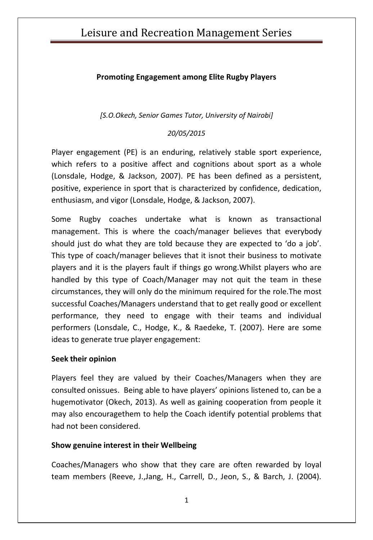# Leisure and Recreation Management Series

### **Promoting Engagement among Elite Rugby Players**

*[S.O.Okech, Senior Games Tutor, University of Nairobi]*

### *20/05/2015*

Player engagement (PE) is an enduring, relatively stable sport experience, which refers to a positive affect and cognitions about sport as a whole (Lonsdale, Hodge, & Jackson, 2007). PE has been defined as a persistent, positive, experience in sport that is characterized by confidence, dedication, enthusiasm, and vigor (Lonsdale, Hodge, & Jackson, 2007).

Some Rugby coaches undertake what is known as transactional management. This is where the coach/manager believes that everybody should just do what they are told because they are expected to 'do a job'. This type of coach/manager believes that it isnot their business to motivate players and it is the players fault if things go wrong.Whilst players who are handled by this type of Coach/Manager may not quit the team in these circumstances, they will only do the minimum required for the role.The most successful Coaches/Managers understand that to get really good or excellent performance, they need to engage with their teams and individual performers (Lonsdale, C., Hodge, K., & Raedeke, T. (2007). Here are some ideas to generate true player engagement:

### **Seek their opinion**

Players feel they are valued by their Coaches/Managers when they are consulted onissues. Being able to have players' opinions listened to, can be a hugemotivator (Okech, 2013). As well as gaining cooperation from people it may also encouragethem to help the Coach identify potential problems that had not been considered.

### **Show genuine interest in their Wellbeing**

Coaches/Managers who show that they care are often rewarded by loyal team members (Reeve, J.,Jang, H., Carrell, D., Jeon, S., & Barch, J. (2004).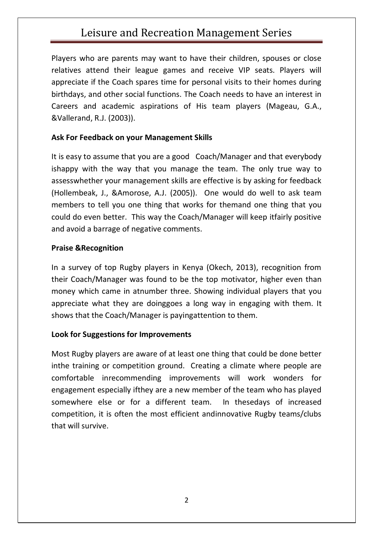# Leisure and Recreation Management Series

Players who are parents may want to have their children, spouses or close relatives attend their league games and receive VIP seats. Players will appreciate if the Coach spares time for personal visits to their homes during birthdays, and other social functions. The Coach needs to have an interest in Careers and academic aspirations of His team players (Mageau, G.A., &Vallerand, R.J. (2003)).

### **Ask For Feedback on your Management Skills**

It is easy to assume that you are a good Coach/Manager and that everybody ishappy with the way that you manage the team. The only true way to assesswhether your management skills are effective is by asking for feedback (Hollembeak, J., &Amorose, A.J. (2005)). One would do well to ask team members to tell you one thing that works for themand one thing that you could do even better. This way the Coach/Manager will keep itfairly positive and avoid a barrage of negative comments.

#### **Praise &Recognition**

In a survey of top Rugby players in Kenya (Okech, 2013), recognition from their Coach/Manager was found to be the top motivator, higher even than money which came in atnumber three. Showing individual players that you appreciate what they are doinggoes a long way in engaging with them. It shows that the Coach/Manager is payingattention to them.

### **Look for Suggestions for Improvements**

Most Rugby players are aware of at least one thing that could be done better inthe training or competition ground. Creating a climate where people are comfortable inrecommending improvements will work wonders for engagement especially ifthey are a new member of the team who has played somewhere else or for a different team. In thesedays of increased competition, it is often the most efficient andinnovative Rugby teams/clubs that will survive.